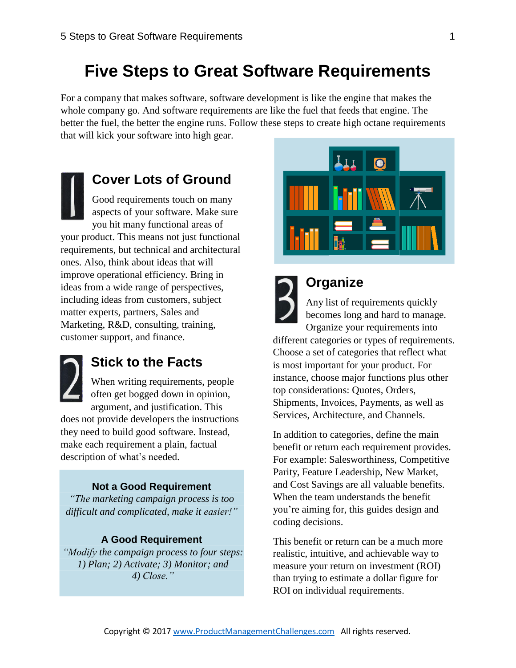# **Five Steps to Great Software Requirements**

For a company that makes software, software development is like the engine that makes the whole company go. And software requirements are like the fuel that feeds that engine. The better the fuel, the better the engine runs. Follow these steps to create high octane requirements that will kick your software into high gear.

**[Co](https://cdn.shopify.com/s/files/1/0301/7465/products/4831BK_House_Number_1_Black_be98ff0b-358d-41e4-a759-78ba08a2f7cc.png?v=1421079903)ver Lots of Ground** [Go](https://cdn.shopify.com/s/files/1/0301/7465/products/4831BK_House_Number_1_Black_be98ff0b-358d-41e4-a759-78ba08a2f7cc.png?v=1421079903)od requirements touch on many [asp](https://cdn.shopify.com/s/files/1/0301/7465/products/4831BK_House_Number_1_Black_be98ff0b-358d-41e4-a759-78ba08a2f7cc.png?v=1421079903)ects of your software. Make sure you hit many functional areas of your product. This means not just functional requirements, but technical and architectural ones. Also, think about ideas that will improve operational efficiency. Bring in ideas from a wide range of perspectives, including ideas from customers, subject matter experts, partners, Sales and Marketing, R&D, consulting, training, customer support, and finance.



#### **Stick to the Facts**

When writing requirements, people often get bogged down in opinion, argument, and justification. This does not provide developers the instructions they need to build good software. Instead, make each requirement a plain, factual description of what's needed.

#### **Not a Good Requirement**

*"The marketing campaign process is too difficult and complicated, make it easier!"*

#### **A Good Requirement**

*"Modify the campaign process to four steps: 1) Plan; 2) Activate; 3) Monitor; and 4) Close."*





### **Organize**

Any list of requirements quickly becomes long and hard to manage. Organize your requirements into

different categories or types of requirements. Choose a set of categories that reflect what is most important for your product. For instance, choose major functions plus other top considerations: Quotes, Orders, Shipments, Invoices, Payments, as well as Services, Architecture, and Channels.

In addition to categories, define the main benefit or return each requirement provides. For example: Salesworthiness, Competitive Parity, Feature Leadership, New Market, and Cost Savings are all valuable benefits. When the team understands the benefit you're aiming for, this guides design and coding decisions.

This benefit or return can be a much more realistic, intuitive, and achievable way to measure your return on investment (ROI) than trying to estimate a dollar figure for ROI on individual requirements.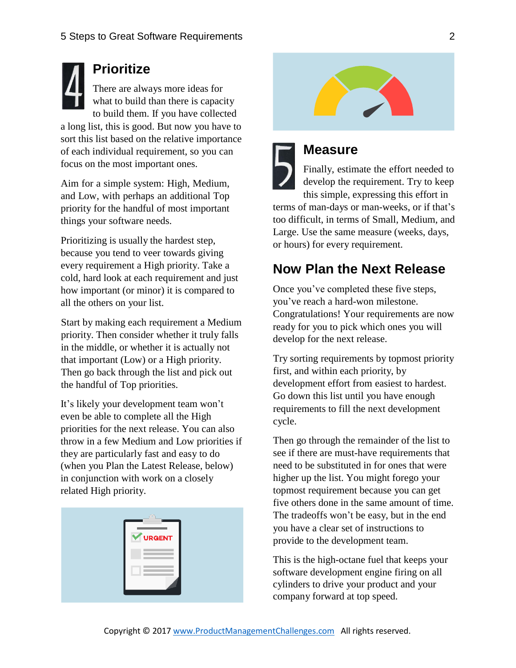**[Pr](https://cdn.shopify.com/s/files/1/0301/7465/products/4834BK_House_Number_4_Black_fbb902ba-4ca3-4b1b-92c6-c1440b844d8c.png?v=1421079903)ioritize** [Th](https://cdn.shopify.com/s/files/1/0301/7465/products/4834BK_House_Number_4_Black_fbb902ba-4ca3-4b1b-92c6-c1440b844d8c.png?v=1421079903)ere are always more ideas for [wh](https://cdn.shopify.com/s/files/1/0301/7465/products/4834BK_House_Number_4_Black_fbb902ba-4ca3-4b1b-92c6-c1440b844d8c.png?v=1421079903)at to build than there is capacity to build them. If you have collected a long list, this is good. But now you have to sort this list based on the relative importance of each individual requirement, so you can focus on the most important ones.

Aim for a simple system: High, Medium, and Low, with perhaps an additional Top priority for the handful of most important things your software needs.

Prioritizing is usually the hardest step, because you tend to veer towards giving every requirement a High priority. Take a cold, hard look at each requirement and just how important (or minor) it is compared to all the others on your list.

Start by making each requirement a Medium priority. Then consider whether it truly falls in the middle, or whether it is actually not that important (Low) or a High priority. Then go back through the list and pick out the handful of Top priorities.

It's likely your development team won't even be able to complete all the High priorities for the next release. You can also throw in a few Medium and Low priorities if they are particularly fast and easy to do (when you Plan the Latest Release, below) in conjunction with work on a closely related High priority.

| URGENT<br>$\overline{\mathbf{v}}$ |
|-----------------------------------|
|                                   |
|                                   |
|                                   |
|                                   |





Finally, estimate the effort needed to develop the requirement. Try to keep this simple, expressing this effort in terms of man-days or man-weeks, or if that's too difficult, in terms of Small, Medium, and Large. Use the same measure (weeks, days, or hours) for every requirement.

### **Now Plan the Next Release**

Once you've completed these five steps, you've reach a hard-won milestone. Congratulations! Your requirements are now ready for you to pick which ones you will develop for the next release.

Try sorting requirements by topmost priority first, and within each priority, by development effort from easiest to hardest. Go down this list until you have enough requirements to fill the next development cycle.

Then go through the remainder of the list to see if there are must-have requirements that need to be substituted in for ones that were higher up the list. You might forego your topmost requirement because you can get five others done in the same amount of time. The tradeoffs won't be easy, but in the end you have a clear set of instructions to provide to the development team.

This is the high-octane fuel that keeps your software development engine firing on all cylinders to drive your product and your company forward at top speed.